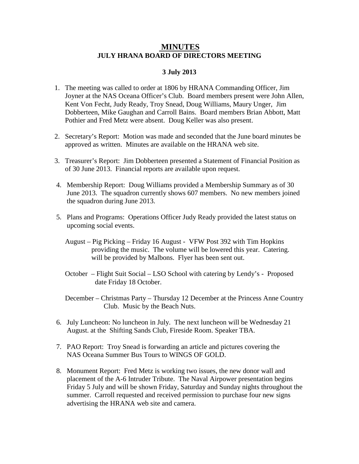## **MINUTES JULY HRANA BOARD OF DIRECTORS MEETING**

## **3 July 2013**

- 1. The meeting was called to order at 1806 by HRANA Commanding Officer, Jim Joyner at the NAS Oceana Officer's Club. Board members present were John Allen, Kent Von Fecht, Judy Ready, Troy Snead, Doug Williams, Maury Unger, Jim Dobberteen, Mike Gaughan and Carroll Bains. Board members Brian Abbott, Matt Pothier and Fred Metz were absent. Doug Keller was also present.
- 2. Secretary's Report: Motion was made and seconded that the June board minutes be approved as written. Minutes are available on the HRANA web site.
- 3. Treasurer's Report: Jim Dobberteen presented a Statement of Financial Position as of 30 June 2013. Financial reports are available upon request.
- 4. Membership Report: Doug Williams provided a Membership Summary as of 30 June 2013. The squadron currently shows 607 members. No new members joined the squadron during June 2013.
- 5. Plans and Programs: Operations Officer Judy Ready provided the latest status on upcoming social events.
	- August Pig Picking Friday 16 August VFW Post 392 with Tim Hopkins providing the music. The volume will be lowered this year. Catering. will be provided by Malbons. Flyer has been sent out.
	- October Flight Suit Social LSO School with catering by Lendy's Proposed date Friday 18 October.
	- December Christmas Party Thursday 12 December at the Princess Anne Country Club. Music by the Beach Nuts.
- 6. July Luncheon: No luncheon in July. The next luncheon will be Wednesday 21 August. at the Shifting Sands Club, Fireside Room. Speaker TBA.
- 7. PAO Report: Troy Snead is forwarding an article and pictures covering the NAS Oceana Summer Bus Tours to WINGS OF GOLD.
- 8. Monument Report: Fred Metz is working two issues, the new donor wall and placement of the A-6 Intruder Tribute. The Naval Airpower presentation begins Friday 5 July and will be shown Friday, Saturday and Sunday nights throughout the summer. Carroll requested and received permission to purchase four new signs advertising the HRANA web site and camera.